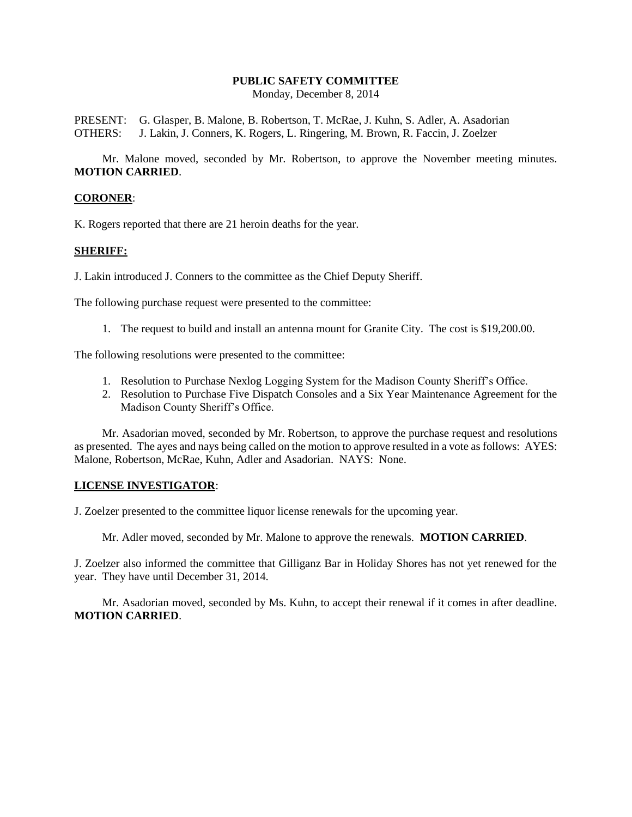# **PUBLIC SAFETY COMMITTEE**

Monday, December 8, 2014

PRESENT: G. Glasper, B. Malone, B. Robertson, T. McRae, J. Kuhn, S. Adler, A. Asadorian OTHERS: J. Lakin, J. Conners, K. Rogers, L. Ringering, M. Brown, R. Faccin, J. Zoelzer

Mr. Malone moved, seconded by Mr. Robertson, to approve the November meeting minutes. **MOTION CARRIED**.

#### **CORONER**:

K. Rogers reported that there are 21 heroin deaths for the year.

#### **SHERIFF:**

J. Lakin introduced J. Conners to the committee as the Chief Deputy Sheriff.

The following purchase request were presented to the committee:

1. The request to build and install an antenna mount for Granite City. The cost is \$19,200.00.

The following resolutions were presented to the committee:

- 1. Resolution to Purchase Nexlog Logging System for the Madison County Sheriff's Office.
- 2. Resolution to Purchase Five Dispatch Consoles and a Six Year Maintenance Agreement for the Madison County Sheriff's Office.

Mr. Asadorian moved, seconded by Mr. Robertson, to approve the purchase request and resolutions as presented. The ayes and nays being called on the motion to approve resulted in a vote as follows: AYES: Malone, Robertson, McRae, Kuhn, Adler and Asadorian. NAYS: None.

## **LICENSE INVESTIGATOR**:

J. Zoelzer presented to the committee liquor license renewals for the upcoming year.

Mr. Adler moved, seconded by Mr. Malone to approve the renewals. **MOTION CARRIED**.

J. Zoelzer also informed the committee that Gilliganz Bar in Holiday Shores has not yet renewed for the year. They have until December 31, 2014.

Mr. Asadorian moved, seconded by Ms. Kuhn, to accept their renewal if it comes in after deadline. **MOTION CARRIED**.